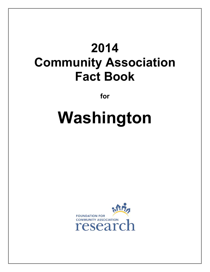# **2014 Community Association Fact Book**

**for** 

# **Washington**

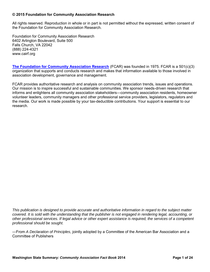#### **© 2015 Foundation for Community Association Research**

All rights reserved. Reproduction in whole or in part is not permitted without the expressed, written consent of the Foundation for Community Association Research.

Foundation for Community Association Research 6402 Arlington Boulevard, Suite 500 Falls Church, VA 22042 (888) 224-4321 www.cairf.org

**[The Foundation for Community Association Research](http://www.cairf.org/about/default.aspx)** (FCAR) was founded in 1975. FCAR is a 501(c)(3) organization that supports and conducts research and makes that information available to those involved in association development, governance and management.

FCAR provides authoritative research and analysis on community association trends, issues and operations. Our mission is to inspire successful and sustainable communities. We sponsor needs-driven research that informs and enlightens all community association stakeholders—community association residents, homeowner volunteer leaders, community managers and other professional service providers, legislators, regulators and the media. Our work is made possible by your tax-deductible contributions. Your support is essential to our research.

*This publication is designed to provide accurate and authoritative information in regard to the subject matter covered. It is sold with the understanding that the publisher is not engaged in rendering legal, accounting, or other professional services. If legal advice or other expert assistance is required, the services of a competent professional should be sought.* 

—From *A Declaration of Principles*, jointly adopted by a Committee of the American Bar Association and a Committee of Publishers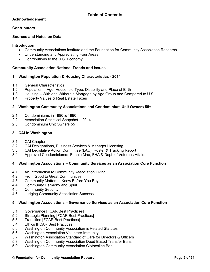#### **Acknowledgement**

#### **Contributors**

#### **Sources and Notes on Data**

#### **Introduction**

- Community Associations Institute and the Foundation for Community Association Research
- Understanding and Appreciating Four Areas
- Contributions to the U.S. Economy

#### **Community Association National Trends and Issues**

#### **1. Washington Population & Housing Characteristics - 2014**

- 1.1 General Characteristics
- 1.2 Population Age, Household Type, Disability and Place of Birth
- 1.3 Housing With and Without a Mortgage by Age Group and Compared to U.S.
- 1.4 Property Values & Real Estate Taxes

#### **2. Washington Community Associations and Condominium Unit Owners 55+**

- 2.1 Condominiums in 1980 & 1990
- 2.2 Association Statistical Snapshot 2014
- 2.3 Condominium Unit Owners 55+

#### **3. CAI in Washington**

- 3.1 CAI Chapter
- 3.2 CAI Designations, Business Services & Manager Licensing
- 3.3 CAI Legislative Action Committee (LAC), Roster & Tracking Report
- 3.4 Approved Condominiums: Fannie Mae, FHA & Dept. of Veterans Affairs

#### **4. Washington Associations – Community Services as an Association Core Function**

- 4.1 An Introduction to Community Association Living
- 4.2 From Good to Great Communities
- 4.3 Community Matters Know Before You Buy
- 4.4. Community Harmony and Spirit
- 4.5 Community Security
- 4.6 Judging Community Association Success

#### **5. Washington Associations – Governance Services as an Association Core Function**

- 5.1 Governance [FCAR Best Practices]<br>5.2 Strategic Planning [FCAR Best Prac
- Strategic Planning [FCAR Best Practices]
- 5.3 Transition [FCAR Best Practices]
- 5.4 Ethics [FCAR Best Practices]
- 5.5 Washington Community Association & Related Statutes
- 5.6 Washington Association Volunteer Immunity
- 5.7 Washington Association Standard of Care for Directors & Officers
- 5.8 Washington Community Association Deed Based Transfer Bans
- 5.9 Washington Community Association Clothesline Ban

#### **© Foundation for Community Association Research Page 2 of 24**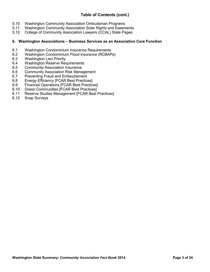# **Table of Contents (cont.)**

- 5.10 Washington Community Association Ombudsman Programs
- 5.11 Washington Community Association Solar Rights and Easements<br>5.12 College of Community Association Lawyers (CCAL) State Pages
- 5.12 College of Community Association Lawyers (CCAL) State Pages

#### **6. Washington Associations – Business Services as an Association Core Function**

- 6.1 Washington Condominium Insurance Requirements
- 6.2 Washington Condominium Flood Insurance (RCBAPs)<br>6.3 Washington Lien Priority
- 6.3 Washington Lien Priority<br>6.4 Washington Reserve Rec
- Washington Reserve Requirements
- 6.5 Community Association Insurance
- 6.6 Community Association Risk Management<br>6.7 Preventing Fraud and Embezzlement
- Preventing Fraud and Embezzlement
- 6.8 Energy Efficiency [FCAR Best Practices]<br>6.9 Financial Operations [FCAR Best Practice
- 6.9 Financial Operations [FCAR Best Practices]<br>6.10 Green Communities [FCAR Best Practices]
- Green Communities [FCAR Best Practices]
- 6.11 Reserve Studies Management [FCAR Best Practices]
- 6.12 Snap Surveys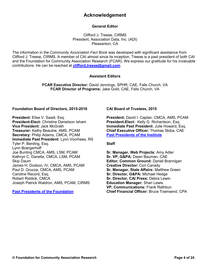# **Acknowledgement**

#### **General Editor**

Clifford J. Treese, CIRMS President, Association Data, Inc. (ADI) Pleasanton, CA

The information in the *Community Association Fact Book* was developed with significant assistance from Clifford J. Treese, CIRMS. A member of CAI almost since its inception, Treese is a past president of both CAI and the Foundation for Community Association Research (FCAR). We express our gratitude for his invaluable contributions. He can be reached at **[clifford.treese@gmail.com](mailto:clifford.treese@gmail.com)**.

#### **Assistant Editors**

**FCAR Executive Director:** David Jennings, SPHR, CAE, Falls Church, VA **FCAR Director of Programs:** Jake Gold, CAE, Falls Church, VA

#### **Foundation Board of Directors, 2015-2016**

**President:** Elise V. Saadi, Esq. **President-Elect:** Christine Danielson Isham **Vice President:** Jack McGrath **Treasurer:** Kathy Beaulne, AMS, PCAM **Secretary:** Philip Adams, CMCA, PCAM **Immediate Past President:** Lynn Voorhees, RS Tyler P. Berding, Esq. Lynn Boergerhoff Joe Bunting CMCA, AMS, LSM, PCAM Kathryn C. Danella, CMCA, LSM, PCAM Skip Daum James H. Dodson, IV, CMCA, AMS, PCAM Paul D. Grucza, CMCA, AMS, PCAM Caroline Record, Esq. Robert Riddick, CMCA Joseph Patrick Waldron, AMS, PCAM, CIRMS

#### **[Past Presidents of the Foundation](http://www.cairf.org/research/factbook/foundationpres.pdf)**

#### **CAI Board of Trustees, 2015**

**President:** David I. Caplan, CMCA, AMS, PCAM **President-Elect:** Kelly G. Richardson, Esq. **Immediate Past President:** Julie Howard, Esq. **Chief Executive Officer:** Thomas Skiba, CAE **[Past Presidents of the Institute](http://www.cairf.org/research/factbook/caipres.pdf)**

#### **Staff**

**Sr. Manager, Web Projects:** Amy Adler **Sr. VP, G&PA:** Dawn Bauman, CAE **Editor, Common Ground:** Daniel Brannigan **Creative Director:** Cori Canady **Sr. Manager, State Affairs:** Matthew Green **Sr. Director, G&PA:** Michael Hedge **Sr. Director, CAI Press:** Debra Lewin **Education Manager:** Shari Lewis **VP, Communications:** Frank Rathbun **Chief Financial Officer:** Bruce Townsend, CPA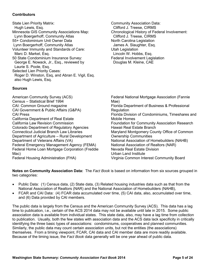#### **Contributors**

State Lien Priority Matrix: Hugh Lewis, Esq. Minnesota GIS Community Associations Map: Lynn Boergerhoff, Community Atlas 55+ Condominium Unit Owner Data Lynn Boergerhoff, Community Atlas Volunteer Immunity and Standards of Care: Marc D. Markel, Esq. 50 State Condominium Insurance Survey: George E. Nowack, Jr., Esq., reviewed by Laurie S. Poole, Esq. Selected Lien Priority Cases: Roger D. Winston, Esq, and Abran E. Vigil, Esq. also Hugh Lewis, Esq.

**Sources**

American Community Survey (ACS) Census – Statistical Brief 1994 CAI: Common Ground magazine CAI Government & Public Affairs (G&PA) CAI Press California Department of Real Estate California Law Revision Commission Colorado Department of Regulatory Agencies Connecticut Judicial Branch Law Libraries Department of Agriculture – Rural Development Department of Veterans Affairs (VA) Federal Emergency Management Agency (FEMA) Federal Home Loan Mortgage Corporation (Freddie Mac) Federal Housing Administration (FHA)

Community Association Data: Clifford J. Treese, CIRMS Chronological History of Federal Involvement: Clifford J. Treese, CIRMS North Carolina Legislation James A. Slaughter, Esq. Utah Legislation Lincoln W. Hobbs, Esq. Federal Involvement Legislation Douglas M. Kleine, CAE

Federal National Mortgage Association (Fannie Mae) Florida Department of Business & Professional **Regulation** Florida Division of Condominiums, Timeshares and Mobile Homes Foundation for Community Association Research Hawaii Real Estate Branch Maryland Montgomery County Office of Common Ownership Communities National Association of Homebuilders (NAHB) National Association of Realtors (NAR) Nevada Real Estate Division Urban Land Institute Virginia Common Interest Community Board

**Notes on Community Association Data:** The *Fact Book* is based on information from six sources grouped in two categories:

- Public Data: (1) Census data, (2) State data, (3) Related housing industries data such as that from the National Association of Realtors (NAR) and the National Association of Homebuilders (NAHB),
- FCAR and CAI Data: (4) FCAR data accumulated over time, (5) CAI data, also, accumulated over time, and (6) Data provided by CAI members.

The public data is largely from the Census and the American Community Survey (ACS). This data has a lag time to publication, i.e., certain of the ACS 2014 data may not be available until late in 2015. Some public association data is available from individual states. This state data, also, may have a lag time from collection to publication. Usually, both the few states with association data and the ACS data lack specificity in critically identifying the three basic types of associations: condominiums, cooperatives and planned communities. Similarly, the public data may count certain association units, but not the entities (the associations) themselves. From a timing viewpoint, FCAR, CAI data and CAI member data are more readily available. Because of the timing issue, the *Fact Book* data generally will be one year ahead of public data.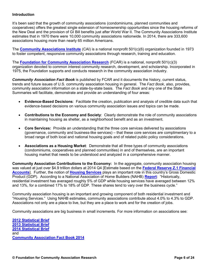#### **Introduction**

It's been said that the growth of community associations (condominiums, planned communities and cooperatives) offers the greatest single extension of homeownership opportunities since the housing reforms of the New Deal and the provision of GI Bill benefits just after World War II. The Community Associations Institute estimates that in 1970 there were 10,000 community associations nationwide. In 2014, there are 333,600 associations housing more than nearly 65 million Americans.

The **[Community Associations Institute](http://www.caionline.org/)** (CAI) is a national nonprofit 501(c)(6) organization founded in 1973 to foster competent, responsive community associations through research, training and education.

The **[Foundation for Community Association Research](http://www.cairf.org/)** (FCAR) is a national, nonprofit 501(c)(3) organization devoted to common interest community research, development, and scholarship. Incorporated in 1975, the Foundation supports and conducts research in the community association industry.

*Community Association Fact Book* is published by FCAR and it documents the history, current status, trends and future issues of U.S. community association housing in general. The *Fact Book*, also, provides, community association information on a state-by-state basis. The *Fact Book* and any one of the State Summaries will facilitate, demonstrate and provide an understanding of four areas:

- **Evidence-Based Decisions**: Facilitate the creation, publication and analysis of credible data such that evidence-based decisions on various community association issues and topics can be made.
- **Contributions to the Economy and Society**: Clearly demonstrate the role of community associations in maintaining housing as shelter, as a neighborhood benefit and as an investment.
- **Core Services:** Provide an understanding that the three core services delivered by associations (governance, community and business-like services) – that these core services are complimentary to a broad range of both local and national housing goals and of related public policy considerations.
- **Associations as a Housing Market**: Demonstrate that all three types of community associations (condominiums, cooperatives and planned communities) in and of themselves, are an important housing market that needs to be understood and analyzed in a comprehensive manner.

**Community Association Contributions to the Economy:** In the aggregate, community association housing was valued at just over \$4.9 trillion dollars at 2014 Q4 [Estimate based on the **[Federal Reserve Z.1 Financial](http://www.federalreserve.gov/releases/z1/current/)  [Accounts](http://www.federalreserve.gov/releases/z1/current/)**]. Further, the notion of **[Housing Services](http://bea.gov/papers/pdf/RIPfactsheet.pdf)** plays an important role in this country's Gross Domestic Product (GDP). According to a National Association of Home Builders (NAHB) **[Report](http://www.nahb.org/en/research/housing-economics/housings-economic-impact/housings-contribution-to-gross-domestic-product-gdp.aspx)**: "Historically, residential investment has averaged roughly 5% of GDP while housing services have averaged between 12% and 13%, for a combined 17% to 18% of GDP. These shares tend to vary over the business cycle."

Community association housing is an important and growing component of both residential investment and "Housing Services." Using NAHB estimates, community associations contribute about 4.0% to 4.3% to GDP. Associations not only are a place to live, but they are a place to work and for the creation of jobs.

Community associations are big business in small increments. For more information on associations see:

**[2012 Statistical Brief](http://www.cairf.org/foundationstatsbrochure.pdf) [2013 Statistical Brief](http://www.cairf.org/research/factbook/2013_statistical_review.pdf) [2014 Statistical Brief](http://www.cairf.org/research/factbook/2014_statistical_review.pdf)** and **[Community Association Fact Book 2014](http://www.cairf.org/research/factbook/default.aspx)**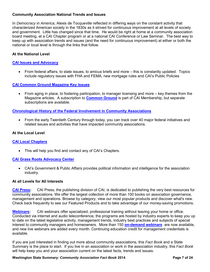#### **Community Association National Trends and Issues**

In *Democracy in America*, Alexis de Tocqueville reflected in differing ways on the constant activity that characterized American society in the 1830s as it strived for continuous improvement at all levels of society and government. Little has changed since that time. He would be right at home at a community association board meeting, at a CAI Chapter program or at a national CAI Conference or Law Seminar. The best way to keep up with association trends and issues (and the need for continuous improvement) at either or both the national or local level is through the links that follow.

#### **At the National Level**

#### **[CAI Issues and Advocacy](https://www.caionline.org/govt/Pages/default.aspx)**

 From federal affairs, to state issues, to amicus briefs and more – this is constantly updated. Topics include regulatory issues with FHA and FEMA, new mortgage rules and CAI's Public Policies

#### **[CAI Common Ground Magazine Key I](https://www.caionline.org/info/publications/commonground/2013/novdec/Pages/default.aspx)ssues**

 From aging in place, to fostering participation, to manager licensing and more – key themes from the Magazine articles. A subscription to **[Common Ground](http://www.caionline.org/info/publications/commonground/Pages/default.aspx)** is part of CAI Membership, but separate subscriptions are available.

#### **[Chronological History of the Federal Involvement in Community Associations](http://www.cairf.org/research/factbook/federal_involvement.pdf)**

 From the early Twentieth Century through today, you can track over 40 major federal initiatives and related issues and activities that have impacted community associations.

#### **At the Local Level**

#### **[CAI Local Chapters](https://www.caionline.org/chapters/find/Pages/default.aspx)**

This will help you find and contact any of CAI's Chapters.

#### **[CAI Grass Roots Advocacy Center](https://www.caionline.org/govt/advocacy/Pages/AdvocacyCenter.aspx)**

 CAI's Government & Public Affairs provides political information and intelligence for the association industry.

#### **At all Levels for All Interests**

**[CAI Press:](https://cai.caionline.org/eWeb/DynamicPage.aspx?Site=CAI&WebKey=40e84125-4d3c-4db1-8d79-90f12e3669f8)** CAI Press, the publishing division of CAI, is dedicated to publishing the very best resources for community associations. We offer the largest collection of more than 100 books on association governance, management and operations. Browse by category, view our most popular products and discover what's new. Check back frequently to see our Featured Products and to take advantage of our money-saving promotions.

**[Webinars:](http://www.caionline.org/events/webinars/Pages/default.aspx)** CAI webinars offer specialized, professional training without leaving your home or office. Conducted via internet and audio teleconference, the programs are hosted by industry experts to keep you up to date on the latest legislative activity, management trends, industry best practices and subjects of special interest to community managers and homeowners. More than 150 **[on-demand webinars](http://cai.mycrowdwisdom.com/diweb/catalog/t/1568/c/35)** are now available, and new live webinars are added every month. Continuing education credit for management credentials is available.

If you are just interested in finding out more about community associations, this *Fact Book* and a State Summary is the place to start. If you live in an association or work in the association industry, this *Fact Book* will help keep you and your association current on the latest facts, trends and issues.

**Washington State Summary:** *Community Association Fact Book* **2014 <b>Page 7 of 24 Page 7 of 24**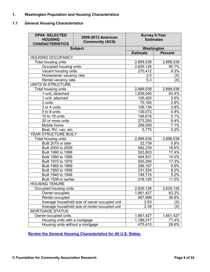## **1. Washington Population and Housing Characteristics**

#### **1.1 General Housing Characteristics**

| <b>DP04: SELECTED</b><br>2009-2013 American<br><b>HOUSING</b><br><b>Community (ACS)</b><br><b>CHARACTERISTICS</b> |                | <b>Survey 5-Year</b> | <b>Estimates</b> |
|-------------------------------------------------------------------------------------------------------------------|----------------|----------------------|------------------|
|                                                                                                                   | <b>Subject</b> | Washington           |                  |
|                                                                                                                   |                | <b>Estimate</b>      | <b>Percent</b>   |
| <b>HOUSING OCCUPANCY</b>                                                                                          |                |                      |                  |
| Total housing units                                                                                               | 2,899,538      | 2,899,538            |                  |
| Occupied housing units                                                                                            |                | 2,629,126            | 90.7%            |
| Vacant housing units                                                                                              |                | 270,412              | 9.3%             |
| Homeowner vacancy rate                                                                                            |                | 2.0                  | (X)              |
| Rental vacancy rate                                                                                               |                | 5.3                  | (X)              |
| UNITS IN STRUCTURE                                                                                                |                |                      |                  |
| Total housing units                                                                                               |                | 2,899,538            | 2,899,538        |
| 1-unit, detached                                                                                                  |                | 1,839,045            | 63.4%            |
| 1-unit, attached                                                                                                  |                | 105,420              | 3.6%             |
| 2 units                                                                                                           |                | 75,165               | 2.6%             |
| 3 or 4 units                                                                                                      |                | 109,136              | 3.8%             |
| 5 to 9 units                                                                                                      |                | 139,072              | 4.8%             |
| 10 to 19 units                                                                                                    | 146,616        | 5.1%                 |                  |
| 20 or more units                                                                                                  |                | 273,250              | 9.4%             |
| Mobile home                                                                                                       |                | 206,059              | 7.1%             |
| Boat, RV, van, etc.                                                                                               |                | 5,775                | 0.2%             |
| YEAR STRUCTURE BUILT                                                                                              |                |                      |                  |
| Total housing units                                                                                               |                | 2,899,538            | 2,899,538        |
| Built 2010 or later                                                                                               |                | 22,739               | 0.8%             |
| Built 2000 to 2009                                                                                                |                | 482,239              | 16.6%            |
| Built 1990 to 1999                                                                                                |                | 503,803              | 17.4%            |
| Built 1980 to 1989                                                                                                |                | 404,931              | 14.0%            |
| Built 1970 to 1979                                                                                                |                | 500,294              | 17.3%            |
| Built 1960 to 1969                                                                                                |                | 286,167              | 9.9%             |
| Built 1950 to 1959                                                                                                |                | 231,524              | 8.0%             |
| Built 1940 to 1949                                                                                                |                | 149,715              | 5.2%             |
| Built 1939 or earlier                                                                                             |                | 318,126              | $11.0\%$         |
| <b>HOUSING TENURE</b>                                                                                             |                |                      |                  |
| Occupied housing units                                                                                            |                | 2,629,126            | 2,629,126        |
| Owner-occupied                                                                                                    |                | 1,661,427            | 63.2%            |
| Renter-occupied                                                                                                   |                | 967,699              | 36.8%            |
| Average household size of owner-occupied unit                                                                     |                | 2.63                 | (X)              |
| Average household size of renter-occupied unit                                                                    | 2.39           | (X)                  |                  |
| <b>MORTGAGE STATUS</b>                                                                                            |                |                      |                  |
| Owner-occupied units                                                                                              |                | 1,661,427            | 1,661,427        |
| Housing units with a mortgage                                                                                     |                | 1,186,017            | 71.4%            |
| Housing units without a mortgage                                                                                  |                | 475,410              | 28.6%            |

**[Review the General Housing Characteristics for All U.S. States.](http://www.cairf.org/research/factbook/general_housing_characteristics.xlsx)**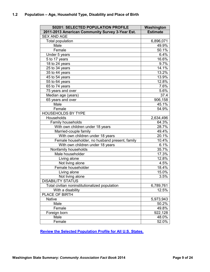| <b>S0201: SELECTED POPULATION PROFILE</b>       | Washington          |
|-------------------------------------------------|---------------------|
| 2011-2013 American Community Survey 3-Year Est. | <b>Estimate</b>     |
| <b>SEX AND AGE</b>                              |                     |
| <b>Total population</b>                         | 6,896,071           |
| Male                                            | 49.9%               |
| Female                                          | 50.1%               |
| Under 5 years                                   | 6.4%                |
| 5 to 17 years                                   | 16.6%               |
| 18 to 24 years                                  | 9.7%                |
| 25 to 34 years                                  | 14.1%               |
| 35 to 44 years                                  | $13.\overline{2\%}$ |
| 45 to 54 years                                  | 13.9%               |
| 55 to 64 years                                  | 12.8%               |
| 65 to 74 years                                  | 7.6%                |
| 75 years and over                               | 5.6%                |
| Median age (years)                              | 37.4                |
| 65 years and over                               | 906,158             |
| Male                                            | 45.1%               |
| Female                                          | 54.9%               |
| <b>HOUSEHOLDS BY TYPE</b>                       |                     |
| Households                                      | 2,634,496           |
| Family households                               | 64.3%               |
| With own children under 18 years                | 28.7%               |
| Married-couple family                           | 49.4%               |
| With own children under 18 years                | 20.1%               |
| Female householder, no husband present, family  | 10.4%               |
| With own children under 18 years                | 6.1%                |
| Nonfamily households                            | 35.7%               |
| Male householder                                | 17.3%               |
| Living alone                                    | 12.8%               |
| Not living alone                                | 4.5%                |
| Female householder                              | 18.4%               |
| Living alone                                    | 15.0%               |
| Not living alone                                | 3.5%                |
| <b>DISABILITY STATUS</b>                        |                     |
| Total civilian noninstitutionalized population  | 6,789,761           |
| With a disability                               | 12.5%               |
| PLACE OF BIRTH                                  |                     |
| <b>Native</b>                                   | 5,973,943           |
| Male                                            | 50.2%               |
| Female                                          | 49.8%               |
| Foreign born                                    | 922,128             |
| Male                                            | 48.0%               |
| Female                                          | 52.0%               |

**[Review the Selected Population Profile for All U.S. States.](http://www.cairf.org/research/factbook/selected_population_profile.xlsx)**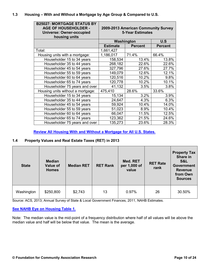#### **1.3 Housing – With and Without a Mortgage by Age Group & Compared to U.S.**

| <b>B25027: MORTGAGE STATUS BY</b><br><b>AGE OF HOUSEHOLDER -</b><br><b>Universe: Owner-occupied</b><br>housing units | 2009-2013 American Community Survey<br><b>5-Year Estimates</b> |                |                |
|----------------------------------------------------------------------------------------------------------------------|----------------------------------------------------------------|----------------|----------------|
|                                                                                                                      |                                                                | Washington     | U.S            |
|                                                                                                                      | <b>Estimate</b>                                                | <b>Percent</b> | <b>Percent</b> |
| Total:                                                                                                               | 1,661,427                                                      |                |                |
| Housing units with a mortgage:                                                                                       | 1,186,017                                                      | 71.4%          | 66.4%          |
| Householder 15 to 34 years                                                                                           | 158,534                                                        | 13.4%          | 13.8%          |
| Householder 35 to 44 years                                                                                           | 268,182                                                        | 22.6%          | 22.6%          |
| Householder 45 to 54 years                                                                                           | 327,796                                                        | 27.6%          | 27.7%          |
| Householder 55 to 59 years                                                                                           | 149,079                                                        | 12.6%          | 12.1%          |
| Householder 60 to 64 years                                                                                           | 120,516                                                        | 10.2%          | 9.8%           |
| Householder 65 to 74 years                                                                                           | 120,778                                                        | 10.2%          | 10.1%          |
| Householder 75 years and over                                                                                        | 41,132                                                         | 3.5%           | 3.8%           |
| Housing units without a mortgage:                                                                                    | 475,410                                                        | 28.6%          | 33.6%          |
| Householder 15 to 34 years                                                                                           | 15,134                                                         | 3.2%           | 3.9%           |
| Householder 35 to 44 years                                                                                           | 24,647                                                         | 4.3%           | 6.3%           |
| Householder 45 to 54 years                                                                                           | 59,924                                                         | 10.4%          | 14.0%          |
| Householder 55 to 59 years                                                                                           | 51,023                                                         | 8.9%           | 10.4%          |
| Householder 60 to 64 years                                                                                           | 66,047                                                         | 11.5%          | 12.5%          |
| Householder 65 to 74 years                                                                                           | 123,362                                                        | 21.5%          | 24.6%          |
| Householder 75 years and over                                                                                        | 135,273                                                        | 23.6%          | 28.3%          |

**[Review All Housing With and Without a Mortgage for All U.S. States.](http://www.cairf.org/research/factbook/all_mortgage.xlsx)**

#### **1.4 Property Values and Real Estate Taxes (RET) in 2013**

| <b>State</b> | <b>Median</b><br><b>Value of</b><br><b>Homes</b> | <b>Median RET</b> | <b>RET Rank</b> | Med. RET<br>per 1,000 of<br>value | <b>RET Rate</b><br>rank | <b>Property Tax</b><br>Share in<br><b>S&amp;L</b><br><b>Government</b><br><b>Revenue</b><br>from Own<br><b>Sources</b> |
|--------------|--------------------------------------------------|-------------------|-----------------|-----------------------------------|-------------------------|------------------------------------------------------------------------------------------------------------------------|
| Washington   | \$250,800                                        | \$2,743           | 13              | 0.97%                             | 26                      | 30.50%                                                                                                                 |

Source: ACS, 2013; Annual Survey of State & Local Government Finances, 2011, NAHB Estimates.

#### **[See NAHB Eye on Housing Table 1.](http://eyeonhousing.org/wp-content/uploads/2014/10/Table-1-Property-Values-and-Real-Estate-Taxes-RET-in-2013.pdf)**

Note: The median value is the mid-point of a frequency distribution where half of all values will be above the median value and half will be below that value. The mean is the average.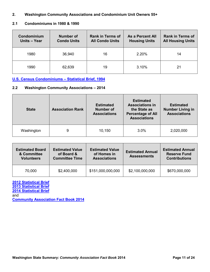#### **2. Washington Community Associations and Condominium Unit Owners 55+**

#### **2.1 Condominiums in 1980 & 1990**

| Condominium<br>Units - Year | <b>Number of</b><br><b>Condo Units</b> | <b>Rank in Terms of</b><br><b>All Condo Units</b> | <b>As a Percent All</b><br><b>Housing Units</b> | <b>Rank in Terms of</b><br><b>All Housing Units</b> |
|-----------------------------|----------------------------------------|---------------------------------------------------|-------------------------------------------------|-----------------------------------------------------|
| 1980                        | 36,940                                 | 16                                                | 2.20%                                           | 14                                                  |
| 1990                        | 62,639                                 | 19                                                | 3.10%                                           | 21                                                  |

**[U.S. Census Condominiums – Statistical Brief, 1994](http://www.cairf.org/research/factbook/census_statistical_brief.pdf)**

#### **2.2 Washington Community Associations – 2014**

| <b>State</b> | <b>Association Rank</b> | <b>Estimated</b><br><b>Number of</b><br><b>Associations</b> | <b>Estimated</b><br><b>Associations in</b><br>the State as<br><b>Percentage of All</b><br><b>Associations</b> | <b>Estimated</b><br><b>Number Living in</b><br><b>Associations</b> |
|--------------|-------------------------|-------------------------------------------------------------|---------------------------------------------------------------------------------------------------------------|--------------------------------------------------------------------|
| Washington   | 9                       | 10,150                                                      | 3.0%                                                                                                          | 2,020,000                                                          |

| <b>Estimated Board</b><br>& Committee<br><b>Volunteers</b> | <b>Estimated Value</b><br>of Board &<br><b>Committee Time</b> | <b>Estimated Value</b><br>of Homes in<br><b>Associations</b> | <b>Estimated Annual</b><br><b>Assessments</b> | <b>Estimated Annual</b><br><b>Reserve Fund</b><br><b>Contributions</b> |
|------------------------------------------------------------|---------------------------------------------------------------|--------------------------------------------------------------|-----------------------------------------------|------------------------------------------------------------------------|
| 70,000                                                     | \$2,400,000                                                   | \$151,000,000,000                                            | \$2,100,000,000                               | \$670,000,000                                                          |

# **[2012 Statistical Brief](http://www.cairf.org/foundationstatsbrochure.pdf)**

**[2013 Statistical Brief](http://www.cairf.org/research/factbook/2013_statistical_review.pdf) [2014 Statistical Brief](http://www.cairf.org/research/factbook/2014_statistical_review.pdf)**

and

**[Community Association Fact Book 2014](http://www.cairf.org/research/factbook/default.aspx)**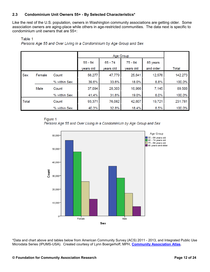#### **2.3 Condominium Unit Owners 55+ - By Selected Characteristics\***

Like the rest of the U.S. population, owners in Washington community associations are getting older. Some association owners are aging-place while others in age-restricted communities. The data next is specific to condominium unit owners that are 55+:

#### Table 1

Persons Age 55 and Over Living in a Condominium by Age Group and Sex

|            |        |              |           | Age Group |           |           |         |
|------------|--------|--------------|-----------|-----------|-----------|-----------|---------|
|            |        |              | $55 - 64$ | $65 - 74$ | $75 - 84$ | 85 years  |         |
|            |        |              | years old | years old | years old | and older | Total   |
| <b>Sex</b> | Female | Count        | 56,277    | 47,779    | 25,641    | 12,576    | 142,273 |
|            |        | % within Sex | 39.6%     | 33.6%     | 18.0%     | 8.8%      | 100.0%  |
|            | Male   | Count        | 37,094    | 28,303    | 16,966    | 7,145     | 89,508  |
|            |        | % within Sex | 41.4%     | 31.6%     | 19.0%     | 8.0%      | 100.0%  |
| Total      |        | Count        | 93,371    | 76,082    | 42,607    | 19,721    | 231,781 |
|            |        | % within Sex | 40.3%     | 32.8%     | 18.4%     | 8.5%      | 100.0%  |

#### Figure 1

Persons Age 55 and Over Living in a Condominium by Age Group and Sex



\*Data and chart above and tables below from American Community Survey (ACS) 2011 - 2013, and Integrated Public Use Microdata Series (IPUMS-USA). Created courtesy of Lynn Boergerhoff, MPH, **[Community Association Atlas.](http://www.communityassociationatlas.com/)**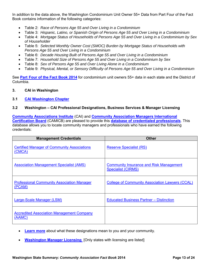In addition to the data above, the Washington Condominium Unit Owner 55+ Data from Part Four of the Fact Book contains information of the following categories:

- Table 2: *Race of Persons Age 55 and Over Living in a Condominium*
- Table 3: *Hispanic, Latino, or Spanish Origin of Persons Age 55 and Over Living in a Condominium*
- Table 4: *Mortgage Status of Households of Persons Age 55 and Over Living in a Condominium by Sex of Householder*
- Table 5: *Selected Monthly Owner Cost (SMOC) Burden by Mortgage Status of Households with Persons Age 55 and Over Living in a Condominium*
- Table 6: *Decade Housing Built of Persons Age 55 and Over Living in a Condominium*
- Table 7: *Household Size of Persons Age 55 and Over Living in a Condominium by Sex*
- Table 8: *Sex of Persons Age 55 and Over Living Alone in a Condominium*
- Table 9: *Physical, Mental, or Sensory Difficulty of Persons Age 55 and Over Living in a Condominium*

See **Part [Four of the Fact Book 2014](http://www.cairf.org/research/factbook/default.aspx)** for condominium unit owners 55+ data in each state and the District of Columbia.

#### **3. CAI in Washington**

**3.1 [CAI Washington Chapter](http://www.caionline.org/chapters/find/Pages/list.aspx)**

#### **3.2 Washington – CAI Professional Designations, Business Services & Manager Licensing**

**[Community Associations Institute](http://www.caionline.org/Pages/Default.aspx)** (CAI) and **[Community Association Managers International](http://www.nbccam.org/index.cfm)  [Certification Board](http://www.nbccam.org/index.cfm)** (CAMICB) are pleased to provide this **[database of credentialed professionals](http://www.caionline.org/info/directory/Pages/default.aspx)**. This database allows you to locate community managers and professionals who have earned the following credentials:

| <b>Management Credentials</b>                                | <b>Other</b>                                                                |
|--------------------------------------------------------------|-----------------------------------------------------------------------------|
| <b>Certified Manager of Community Associations</b><br>(CMCA) | <b>Reserve Specialist (RS)</b>                                              |
| <b>Association Management Specialist (AMS)</b>               | <b>Community Insurance and Risk Management</b><br><b>Specialist (CIRMS)</b> |
| <b>Professional Community Association Manager</b><br>(PCAM)  | <b>College of Community Association Lawyers (CCAL)</b>                      |
| <b>Large-Scale Manager (LSM)</b>                             | <b>Educated Business Partner - Distinction</b>                              |
| <b>Accredited Association Management Company</b><br>(AAMC)   |                                                                             |

- **[Learn more](http://www.caionline.org/career/designations/Pages/default.aspx)** about what these designations mean to you and your community.
- **[Washington Manager Licensing](http://www.caionline.org/govt/managerlicensing/Pages/default.aspx)** [Only states with licensing are listed]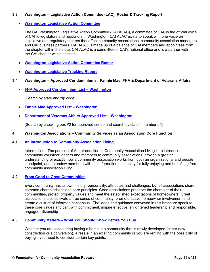#### **3.3 Washington – Legislative Action Committee (LAC), Roster & Tracking Report**

#### **[Washington Legislative Action Committee](http://www.caionline.org/GOVT/ADVOCACY/LAC/Pages/default.aspx)**

The CAI Washington Legislative Action Committee (CAI ALAC), a committee of CAI, is the official voice of CAI to legislators and regulators in Washington. CAI ALAC exists to speak with one voice on legislative and regulatory matters that affect community associations, community association managers and CAI business partners. CAI ALAC is made up of a balance of CAI members and appointees from the chapter within the state. CAI ALAC is a committee of CAI's national office and is a partner with the CAI chapter within its state.

- **[Washington Legislative Action Committee Roster](http://www.caionline.org/govt/advocacy/lac/Pages/default.aspx)**
- **[Washington Legislative Tracking Report](http://www.caionline.org/govt/advocacy/Pages/LegislativeTracking.aspx)**

#### **3.4 Washington – Approved Condominiums: Fannie Mae, FHA & Department of Veterans Affairs**

**[FHA Approved Condominium List – Washington](https://entp.hud.gov/idapp/html/condlook.cfm)** 

[Search by state and zip code]

- **[Fannie Mae Approved List Washington](https://www.fanniemae.com/content/datagrid/condo_pud/wa.pdf)**
- **[Department of Veterans Affairs Approved List Washington](https://vip.vba.va.gov/portal/VBAH/VBAHome/condopudsearch?paf_portalId=default&paf_communityId=100002&paf_pageId=500002&paf_dm=full&paf_gear_id=800001&paf_gm=content&paf_ps=_rp_800001_stateCode%3D1_AL%26_rp_800001_regionalOffice%3D1_%26_rp_800001_cpbaction)**

[Search by checking box #2 for approved condo and search by state in number #5]

#### **4. Washington Associations – Community Services as an Association Core Function**

#### **4.1 [An Introduction to Community Association Living](http://www.caionline.org/events/boardmembers/Documents/IntroToCALiving.pdf)**

Introduction: The purpose of An Introduction to Community Association Living is to introduce community volunteer leaders and members to community associations, provide a greater understanding of exactly how a community association works from both an organizational and people standpoint, and to endow members with the information necessary for fully enjoying and benefiting from community association living.

#### **4.2 [From Good to Great Communities](http://www.caionline.org/info/help/Documents/Good2Great.pdf)**

Every community has its own history, personality, attributes and challenges, but all associations share common characteristics and core principles. Good associations preserve the character of their communities, protect property values and meet the established expectations of homeowners. Great associations also cultivate a true sense of community, promote active homeowner involvement and create a culture of informed consensus. The ideas and guidance conveyed in this brochure speak to these core values and can, with commitment, inspire effective, enlightened leadership and responsible, engaged citizenship

#### **4.3 [Community Matters – What You Should Know Before You Buy](http://www.caionline.org/info/readingroom/Publication%20Excerpt%20Library/community_matters.pdf)**

Whether you are considering buying a home in a community that is newly developed (either new construction or a conversion), a resale in an existing community or you are renting with the possibility of buying—you need to consider certain key points.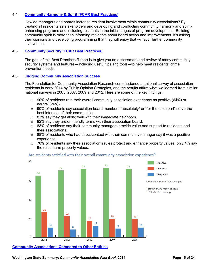#### **4.4 [Community Harmony & Spirit \[FCAR Best Practices\]](http://www.cairf.org/research/bpharmony.pdf)**

How do managers and boards increase resident involvement within community associations? By treating all residents as stakeholders and developing and conducting community harmony and spiritenhancing programs and including residents in the initial stages of program development. Building community spirit is more than informing residents about board action and improvements. It's asking their opinions and developing programming that they will enjoy that will spur further community involvement.

#### **4.5 [Community Security \[FCAR Best Practices\]](http://www.cairf.org/research/bpsecurity.pdf)**

The goal of this Best Practices Report is to give you an assessment and review of many community security systems and features—including useful tips and tools—to help meet residents' crime prevention needs.

#### **4.6 [Judging Community Association Success](http://www.cairf.org/research/Americans_Grade_2014.pdf)**

The Foundation for Community Association Research commissioned a national survey of association residents in early 2014 by Public Opinion Strategies, and the results affirm what we learned from similar national surveys in 2005, 2007, 2009 and 2012. Here are some of the key findings:

- $\circ$  90% of residents rate their overall community association experience as positive (64%) or neutral (26%).
- $\circ$  90% of residents say association board members "absolutely" or "for the most part" serve the best interests of their communities.
- $\circ$  83% say they get along well with their immediate neighbors.
- o 92% say they are on friendly terms with their association board.
- $\circ$  83% of residents say their community managers provide value and support to residents and their associations.
- $\circ$  88% of residents who had direct contact with their community manager say it was a positive experience.
- $\circ$  70% of residents say their association's rules protect and enhance property values; only 4% say the rules harm property values.



#### Are residents satisfied with their overall community association experience?

#### **[Community Associations Compared to Other Entities](http://www.cairf.org/research/factbook/comparing_associations.xlsx)**

**Washington State Summary: Community Association Fact Book 2014 Page 15 of 24 Page 15 of 24**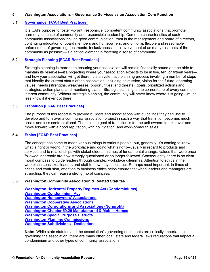#### **5. Washington Associations – Governance Services as an Association Core Function**

#### **5.1 [Governance \[FCAR Best Practices\]](http://www.cairf.org/research/bpgovernance.pdf)**

It is CAI's purpose to foster vibrant, responsive, competent community associations that promote harmony, a sense of community and responsible leadership. Common characteristics of such community associations include good communication, trust in the management and board of directors, continuing education of board members and homeowners, and uniform, flexible and reasonable enforcement of governing documents. Inclusiveness—the involvement of as many residents of the community as possible—is a critical element in fostering a sense of community.

#### **5.2 [Strategic Planning \[FCAR Best Practices\]](http://www.cairf.org/research/bpstrategic.pdf)**

Strategic planning is more than ensuring your association will remain financially sound and be able to maintain its reserves—it's projecting where your association expects to be in five, ten, or fifteen years and how your association will get there. It is a systematic planning process involving a number of steps that identify the current status of the association, including its mission, vision for the future, operating values, needs (strengths, weaknesses, opportunities, and threats), goals, prioritized actions and strategies, action plans, and monitoring plans. Strategic planning is the cornerstone of every commoninterest community. Without strategic planning, the community will never know where it is going—much less know if it ever got there.

#### **5.3 [Transition \[FCAR Best Practices\]](http://www.cairf.org/research/bptransition.pdf)**

The purpose of this report is to provide builders and associations with guidelines they can use to develop and turn over a community association project in such a way that transition becomes much easier and less confrontational. The ultimate goal of transition is for the unit owners to take over and move forward with a good reputation, with no litigation, and word-of-mouth sales.

#### **5.4 [Ethics \[FCAR Best Practices\]](http://www.cairf.org/research/bpethics.pdf)**

The concept has come to mean various things to various people, but, generally, it's coming to know what is right or wrong in the workplace and doing what's right—usually in regard to products and services and to relationships with stakeholders. In times of fundamental change, values that were once followed inherently are now strongly questioned or no longer followed. Consequently, there is no clear moral compass to guide leaders through complex workplace dilemmas. Attention to ethics in the workplace sensitizes leaders and staff to how they should act. Perhaps most important, in times of crises and confusion, attention to business ethics helps ensure that when leaders and managers are struggling, they can retain a strong moral compass.

#### **5.5 Washington Community Association & Related Statutes**

**[Washington Horizontal Property Regimes Act \(Condominiums\)](http://apps.leg.wa.gov/RCW/default.aspx?cite=64.32) [Washington Condominium Act](http://apps.leg.wa.gov/RCW/default.aspx?cite=64.34) [Washington Homeowners' Associations](http://apps.leg.wa.gov/RCW/default.aspx?cite=64.38) [Washington Cooperative Associations](http://apps.leg.wa.gov/rcw/default.aspx?cite=23.86) [Washington Corporations and Associations \(Nonprofit\)](http://apps.leg.wa.gov/rcw/default.aspx?Cite=24) [Washington Chapter 59.20 Manufactured & Mobile Homes](http://apps.leg.wa.gov/rcw/default.aspx?cite=59.20&full=true) [Washington Special Purpose Districts](http://www.mrsc.org/subjects/governance/spd/spdmain.aspx) [Washington Planning Commissions](http://apps.leg.wa.gov/rcw/default.aspx?cite=35.63) [Washington Subdivisions - Dedications](http://apps.leg.wa.gov/rcw/default.aspx?cite=58.17)**

**Note:** While state statutes and the association's governing documents are critically important to governing the association, there are many other local, state and federal laws regulations that impact a condominium and other types of community associations.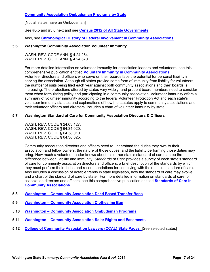#### **[Community Association Ombudsman Programs by State](http://www.caionline.org/govt/Pages/CommunityAssociationOmbudsmanProgramsbyState2.aspx)**

[Not all states have an Ombudsman]

See #5.5 and #5.6 next and see **[Census 2012 of All State Governments](http://www2.census.gov/govs/cog/2012isd.pdf)**

Also, see **[Chronological History of Federal Involvement in Community Associations](http://www.cairf.org/research/factbook/federal_involvement.pdf)**.

#### **5.6 Washington Community Association Volunteer Immunity**

WASH. REV. CODE ANN. § 4.24.264 WASH. REV. CODE ANN. § 4.24.670

For more detailed information on volunteer immunity for association leaders and volunteers, see this comprehensive publication entitled **[Voluntary Immunity in Community Associations](https://cai.caionline.org/eweb/DynamicPage.aspx?site=CAI&WebCode=storeItemDetail&parentKey=610011e5-01c8-4e88-b748-192f1d693e31)** Volunteer directors and officers who serve on their boards face the potential for personal liability in serving the association. Although all states provide some form of immunity from liability for volunteers, the number of suits being filed each year against both community associations and their boards is increasing. The protections offered by states vary widely, and prudent board members need to consider them when formulating policy and participating in a community association. Volunteer Immunity offers a summary of volunteer immunity according to the federal Volunteer Protection Act and each state's volunteer immunity statutes and explanations of how the statutes apply to community associations and their volunteer officers and directors. Includes a chart of volunteer immunity by state.

#### **5.7 Washington Standard of Care for Community Association Directors & Officers**

WASH. REV. CODE § 24.03.127. WASH. REV. CODE § 64.34.020. WASH. REV. CODE § 64.38.010. WASH. REV. CODE § 64.38.025.

Community association directors and officers need to understand the duties they owe to their association and fellow owners, the nature of those duties, and the liability performing those duties may bring. How much a volunteer leader knows about his or her state's standard of care can be the difference between liability and immunity. *Standards of Care* provides a survey of each state's standard of care for community association directors and officers, a brief description of the standards by which they must perform their duties and recommendations for complying with their state's standard of care. Also includes a discussion of notable trends in state legislation, how the standard of care may evolve and a chart of the standard of care by state. For more detailed information on standards of care for association directors and officers, see this comprehensive publication entitled **[Standards of Care in](https://cai.caionline.org/eweb/DynamicPage.aspx?site=CAI&WebCode=storeItemDetail&parentKey=e7ce02f1-646c-472d-bde9-1d709e72c7af)  [Community Associations](https://cai.caionline.org/eweb/DynamicPage.aspx?site=CAI&WebCode=storeItemDetail&parentKey=e7ce02f1-646c-472d-bde9-1d709e72c7af)**

- **5.8 [Washington Community Association Deed Based Transfer Bans](http://www.caionline.org/govt/Pages/Deed-BasedTransferFeeBansbyState2.aspx)**
- **5.9 [Washington Community Association Clothesline Ban](http://www.caionline.org/govt/Pages/Clothesline.aspx)**
- **5.10 [Washington Community Association Ombudsman Programs](http://www.caionline.org/govt/Pages/CommunityAssociationOmbudsmanProgramsbyState2.aspx)**
- **5.11 [Washington Community Association Solar Rights and Easements](http://www.caionline.org/govt/Pages/SolarRightsandEasementsbyState.aspx)**
- **5.12 [College of Community Association Lawyers \(CCAL\) State Pages](http://www.caionline.org/career/designations/ccal/Pages/CCALStateFAQs.aspx)** [See selected states]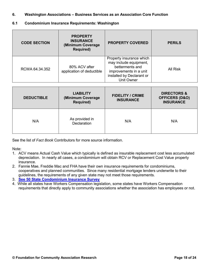- **6. Washington Associations Business Services as an Association Core Function**
- **6.1 Condominium Insurance Requirements: Washington**

| <b>CODE SECTION</b> | <b>PROPERTY</b><br><b>INSURANCE</b><br>(Minimum Coverage<br><b>Required)</b> | <b>PROPERTY COVERED</b>                                                                                                                    | <b>PERILS</b> |
|---------------------|------------------------------------------------------------------------------|--------------------------------------------------------------------------------------------------------------------------------------------|---------------|
| RCWA 64.34.352      | 80% ACV after<br>application of deductible                                   | Property insurance which<br>may include equipment,<br>betterments and<br>improvements in a unit<br>installed by Declarant or<br>Unit Owner | All Risk      |

| <b>DEDUCTIBLE</b> | <b>LIABILITY</b><br>(Minimum Coverage<br><b>Required)</b> | <b>FIDELITY / CRIME</b><br><b>INSURANCE</b> | <b>DIRECTORS &amp;</b><br><b>OFFICERS (D&amp;O)</b><br><b>INSURANCE</b> |
|-------------------|-----------------------------------------------------------|---------------------------------------------|-------------------------------------------------------------------------|
| N/A               | As provided in<br><b>Declaration</b>                      | N/A                                         | N/A                                                                     |

See the list of *Fact Book* Contributors for more source information.

Note:

- 1. ACV means Actual Cash Value which typically is defined as insurable replacement cost less accumulated depreciation. In nearly all cases, a condominium will obtain RCV or Replacement Cost Value property insurance.
- 2. Fannie Mae, Freddie Mac and FHA have their own insurance requirements for condominiums, cooperatives and planned communities. Since many residential mortgage lenders underwrite to their guidelines, the requirements of any given state may not meet those requirements.
- 3. **See [50 State Condominium Insurance Survey](http://www.cairf.org/research/factbook/condo_insurance.pdf)**
- 4. While all states have Workers Compensation legislation, some states have Workers Compensation requirements that directly apply to community associations whether the association has employees or not.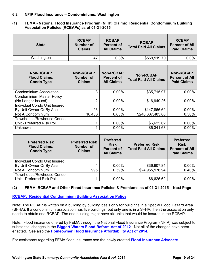#### **6.2 NFIP Flood Insurance – Condominiums: Washington**

**(1) FEMA - National Flood Insurance Program (NFIP) Claims: Residential Condominium Building Association Policies (RCBAPs) as of 01-31-2015** 

| <b>State</b> | <b>RCBAP</b><br><b>Number of</b><br><b>Claims</b> | <b>RCBAP</b><br><b>Percent of</b><br><b>All Claims</b> | <b>RCBAP</b><br><b>Total Paid All Claims</b> | <b>RCBAP</b><br><b>Percent of All</b><br><b>Paid Claims</b> |
|--------------|---------------------------------------------------|--------------------------------------------------------|----------------------------------------------|-------------------------------------------------------------|
| Washington   | 47                                                | 0.3%                                                   | \$569,919.70                                 | $0.0\%$                                                     |

| <b>Non-RCBAP</b><br><b>Flood Claims:</b><br><b>Condo Type</b> | <b>Non-RCBAP</b><br><b>Number of</b><br><b>Claims</b> | <b>Non-RCBAP</b><br><b>Percent of</b><br><b>All Claims</b> | <b>Non-RCBAP</b><br><b>Total Paid All Claims</b> | <b>Non-RCBAP</b><br><b>Percent of All</b><br><b>Paid Claims</b> |
|---------------------------------------------------------------|-------------------------------------------------------|------------------------------------------------------------|--------------------------------------------------|-----------------------------------------------------------------|
| <b>Condominium Association</b>                                | 3                                                     | 0.00%                                                      | \$35,715.97                                      | 0.00%                                                           |
| <b>Condominium Master Policy</b>                              |                                                       |                                                            |                                                  |                                                                 |
| (No Longer Issued)                                            | $\overline{2}$                                        | $0.00\%$                                                   | \$16,949.26                                      | 0.00%                                                           |
| Individual Condo Unit Insured                                 |                                                       |                                                            |                                                  |                                                                 |
| By Unit Owner Or By Assn                                      | 23                                                    | $0.00\%$                                                   | \$147,866.62                                     | $0.00\%$                                                        |
| Not A Condominium                                             | 10,456                                                | 0.65%                                                      | \$246,637,483.68                                 | 0.50%                                                           |
| Townhouse/Rowhouse Condo                                      |                                                       |                                                            |                                                  |                                                                 |
| Unit - Preferred Risk Pol                                     |                                                       | $0.00\%$                                                   | \$6,625.62                                       | 0.00%                                                           |
| Unknown                                                       |                                                       | 0.00%                                                      | \$6,341.63                                       | $0.00\%$                                                        |

| <b>Preferred Risk</b><br><b>Flood Claims:</b><br><b>Condo Type</b> | <b>Preferred Risk</b><br><b>Number of</b><br><b>Claims</b> | <b>Preferred</b><br><b>Risk</b><br><b>Percent of</b><br><b>All Claims</b> | <b>Preferred Risk</b><br><b>Total Paid All Claims</b> | <b>Preferred</b><br><b>Risk</b><br><b>Percent of All</b><br><b>Paid Claims</b> |  |
|--------------------------------------------------------------------|------------------------------------------------------------|---------------------------------------------------------------------------|-------------------------------------------------------|--------------------------------------------------------------------------------|--|
| Individual Condo Unit Insured                                      |                                                            |                                                                           |                                                       |                                                                                |  |
| By Unit Owner Or By Assn                                           | 4                                                          | $0.00\%$                                                                  | \$36,607.84                                           | $0.00\%$                                                                       |  |
| Not A Condominium                                                  | 995                                                        | 0.59%                                                                     | \$24,955,176.94                                       | 0.40%                                                                          |  |
| Townhouse/Rowhouse Condo                                           |                                                            |                                                                           |                                                       |                                                                                |  |
| Unit - Preferred Risk Pol                                          |                                                            | $0.00\%$                                                                  | \$6,625.62                                            | $0.00\%$                                                                       |  |

#### **(2) FEMA- RCBAP and Other Flood Insurance Policies & Premiums as of 01-31-2015 – Next Page**

#### **[RCBAP: Residential Condominium Building Association Policy](http://www.fema.gov/media-library/assets/documents/18108?id=4097)**

Note: The RCBAP is written on a building by building basis only for buildings in a Special Flood Hazard Area (SFHA). If a condominium association has five buildings, but only one is in a SFHA, then the association only needs to obtain one RCBAP. The one building might have six units that would be insured in the RCBAP.

Note: Flood insurance offered by FEMA through the National Flood Insurance Program (NFIP) was subject to substantial changes in the **[Biggert-Waters Flood Reform Act of 2012](http://www.philadelphiafed.org/bank-resources/publications/consumer-compliance-outlook/2012/third-quarter/Biggert-Waters%20Act.pdf)**. Not all of the changes have been enacted. See also the **[Homeowner Flood Insurance Affordability Act of 2014](https://www.fema.gov/media-library/assets/documents/93074)**.

For assistance regarding FEMA flood insurance see the newly created **[Flood Insurance Advocate](https://www.fema.gov/flood-insurance-reform-flood-insurance-advocate)**.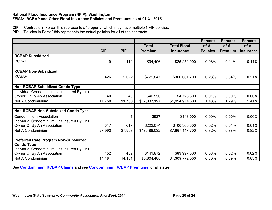#### **National Flood Insurance Program (NFIP): Washington FEMA: RCBAP and Other Flood Insurance Policies and Premiums as of 01-31-2015**

**CIF:** "Contracts in Force" this represents a "property" which may have multiple NFIP policies.

**PIF:** "Policies in Force" this represents the actual policies for all of the contracts.

|                                              |            |            |                |                    | <b>Percent</b>  | <b>Percent</b> | <b>Percent</b>   |
|----------------------------------------------|------------|------------|----------------|--------------------|-----------------|----------------|------------------|
|                                              |            |            | <b>Total</b>   | <b>Total Flood</b> | of All          | of All         | of All           |
|                                              | <b>CIF</b> | <b>PIF</b> | <b>Premium</b> | <b>Insurance</b>   | <b>Policies</b> | Premium        | <b>Insurance</b> |
| <b>RCBAP Subsidized</b>                      |            |            |                |                    |                 |                |                  |
| <b>RCBAP</b>                                 | 9          | 114        | \$94,406       | \$25,252,000       | 0.08%           | 0.11%          | 0.11%            |
|                                              |            |            |                |                    |                 |                |                  |
| <b>RCBAP Non-Subsidized</b>                  |            |            |                |                    |                 |                |                  |
| <b>RCBAP</b>                                 | 426        | 2,022      | \$729,847      | \$366,061,700      | 0.23%           | 0.34%          | 0.21%            |
|                                              |            |            |                |                    |                 |                |                  |
| <b>Non-RCBAP Subsidized Condo Type</b>       |            |            |                |                    |                 |                |                  |
| Individual Condominium Unit Insured By Unit  |            |            |                |                    |                 |                |                  |
| Owner Or By An Association                   | 40         | 40         | \$40,550       | \$4,725,500        | 0.01%           | 0.00%          | 0.00%            |
| Not A Condominium                            | 11,750     | 11,750     | \$17,037,197   | \$1,994,914,600    | 1.48%           | 1.29%          | 1.41%            |
|                                              |            |            |                |                    |                 |                |                  |
| <b>Non-RCBAP Non-Subsidized Condo Type</b>   |            |            |                |                    |                 |                |                  |
| <b>Condominium Association</b>               | 1          |            | \$927          | \$143,000          | 0.00%           | 0.00%          | 0.00%            |
| Individual Condominium Unit Insured By Unit  |            |            |                |                    |                 |                |                  |
| Owner Or By An Association                   | 617        | 617        | \$222,074      | \$106,365,600      | 0.02%           | 0.01%          | 0.01%            |
| Not A Condominium                            | 27,993     | 27,993     | \$18,488,032   | \$7,667,117,700    | 0.82%           | 0.88%          | 0.82%            |
|                                              |            |            |                |                    |                 |                |                  |
| <b>Preferred Rate Program Non-Subsidized</b> |            |            |                |                    |                 |                |                  |
| <b>Condo Type</b>                            |            |            |                |                    |                 |                |                  |
| Individual Condominium Unit Insured By Unit  |            |            |                |                    |                 |                |                  |
| Owner Or By An Association                   | 452        | 452        | \$141,872      | \$83,997,000       | 0.03%           | 0.02%          | 0.02%            |
| Not A Condominium                            | 14,181     | 14,181     | \$6,804,488    | \$4,309,772,000    | 0.80%           | 0.89%          | 0.83%            |

See **[Condominium RCBAP Claims](http://www.cairf.org/research/factbook/rcbap_claims.xlsx)** and see **[Condominium RCBAP Premiums](http://www.cairf.org/research/factbook/rcbap_premiums.xlsx)** for all states.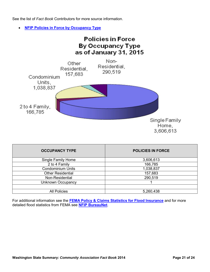See the list of *Fact Book* Contributors for more source information.

**[NFIP Policies in Force by Occupancy Type](https://www.fema.gov/policies-force-occupancy-type)**



| <b>OCCUPANCY TYPE</b>    | <b>POLICIES IN FORCE</b> |  |  |  |
|--------------------------|--------------------------|--|--|--|
| Single Family Home       | 3,606,613                |  |  |  |
| 2 to 4 Family            | 166,785                  |  |  |  |
| <b>Condominium Units</b> | 1,038,837                |  |  |  |
| <b>Other Residential</b> | 157,683                  |  |  |  |
| Non-Residential          | 290,519                  |  |  |  |
| Unknown Occupancy        |                          |  |  |  |
|                          |                          |  |  |  |
| <b>All Policies</b>      | 5,260,438                |  |  |  |
|                          |                          |  |  |  |

For additional information see the **[FEMA Policy & Claims Statistics for Flood Insurance](https://www.fema.gov/policy-claim-statistics-flood-insurance/policy-claim-statistics-flood-insurance/policy-claim-13)** and for more detailed flood statistics from FEMA see **[NFIP BureauNet](http://bsa.nfipstat.fema.gov/reports/reports.html)**.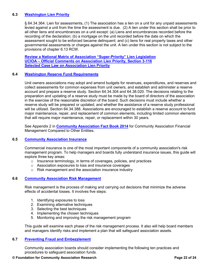#### **6.3 [Washington Lien Priority](http://www.caionline.org/govt/advocacy/Pages/AssessmentPriorityLienStatutesbyState.aspx)**

§ 64.34.364. Lien for assessments, (1) The association has a lien on a unit for any unpaid assessments levied against a unit from the time the assessment is due. (2) A lien under this section shall be prior to all other liens and encumbrances on a unit except: (a) Liens and encumbrances recorded before the recording of the declaration; (b) a mortgage on the unit recorded before the date on which the assessment sought to be enforced became delinquent; and (c) liens for real property taxes and other governmental assessments or charges against the unit. A lien under this section is not subject to the provisions of chapter 6.13 RCW.

**[Review a National Matrix of Association "Super-Priority" Lien Legislation](http://www.cairf.org/research/factbook/lien_priority_matrix.pdf) [UCIOA – Official Comments on Association Lien Priority, Section 3-116](http://www.cairf.org/research/factbook/lien_priority_section_3116.pdf) [Selected Case Law on Association Lien Priority](http://www.cairf.org/research/factbook/lien_priority_cases.pdf)**

#### **6.4 [Washington Reserve Fund Requirements](http://www.cairf.org/research/factbook/state_reserve_fund_laws.pdf)**

Unit owners associations may adopt and amend budgets for revenues, expenditures, and reserves and collect assessments for common expenses from unit owners, and establish and administer a reserve account and prepare a reserve study. Section 64.34.304 and 64.38.020. The decisions relating to the preparation and updating of a reserve study must be made by the board of directors of the association in the exercise of the reasonable discretion of the board. Such decisions must include whether a reserve study will be prepared or updated, and whether the assistance of a reserve study professional will be utilized. Section 64.34.388. Associations are encouraged to establish a reserve account to fund major maintenance, repair, and replacement of common elements, including limited common elements that will require major maintenance, repair, or replacement within 30 years.

See Appendix 2 in **[Community Association Fact Book 2014](http://www.cairf.org/research/factbook/default.aspx)** for Community Association Financial Management Compared to Other Entities.

#### **6.5 [Community Association Insurance](http://www.caionline.org/info/readingroom/Pages/Insurance.aspx)**

Commercial insurance is one of the most important components of a community association's risk management program. To help managers and boards fully understand insurance issues, this guide will explore three key areas:

- o Insurance terminology, in terms of coverages, policies, and practices
- o Association exposures to loss and insurance coverages
- o Risk management and the association insurance industry

#### **6.6 [Community Association Risk Management](http://www.caionline.org/info/readingroom/Pages/RiskManagement.aspx)**

Risk management is the process of making and carrying out decisions that minimize the adverse effects of accidental losses. It involves five steps:

- 1. Identifying exposures to loss
- 2. Examining alternative techniques
- 3. Selecting the best techniques
- 4. Implementing the chosen techniques
- 5. Monitoring and improving the risk management program

This guide will examine each phase of the risk management process. It also will help board members and managers identify risks and implement a plan that will safeguard association assets.

#### **6.7 [Preventing Fraud and Embezzlement](http://www.caionline.org/info/help/Documents/Preventing%20Fraud%20and%20Embezzlement.pdf)**

Community association boards should consider implementing the following ten practices and procedures to safeguard association funds.

#### **© Foundation for Community Association Research Page 22 of 24**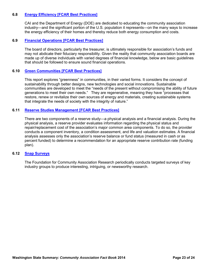#### **6.8 [Energy Efficiency \[FCAR Best Practices\]](http://www.cairf.org/research/bpefficiency.pdf)**

CAI and the Department of Energy (DOE) are dedicated to educating the community association industry—and the significant portion of the U.S. population it represents—on the many ways to increase the energy efficiency of their homes and thereby reduce both energy consumption and costs.

#### **6.9 [Financial Operations \[FCAR Best Practices\]](http://www.cairf.org/research/bpfinancial.pdf)**

The board of directors, particularly the treasurer, is ultimately responsible for association's funds and may not abdicate their fiduciary responsibility. Given the reality that community association boards are made up of diverse individuals with varied degrees of financial knowledge, below are basic guidelines that should be followed to ensure sound financial operations.

#### **6.10 [Green Communities \[FCAR Best Practices\]](http://www.cairf.org/research/bpgreen.pdf)**

This report explores "greenness" in communities, in their varied forms. It considers the concept of sustainability through better designs, new technologies and social innovations. Sustainable communities are developed to meet the "needs of the present without compromising the ability of future generations to meet their own needs." They are regenerative, meaning they have "processes that restore, renew or revitalize their own sources of energy and materials, creating sustainable systems that integrate the needs of society with the integrity of nature."

#### **6.11 [Reserve Studies Management \[FCAR Best Practices\]](http://www.cairf.org/research/bprs.pdf)**

There are two components of a reserve study—a physical analysis and a financial analysis. During the physical analysis, a reserve provider evaluates information regarding the physical status and repair/replacement cost of the association's major common area components. To do so, the provider conducts a component inventory, a condition assessment, and life and valuation estimates. A financial analysis assesses only the association's reserve balance or fund status (measured in cash or as percent funded) to determine a recommendation for an appropriate reserve contribution rate (funding plan).

#### **6.12 [Snap Surveys](http://www.cairf.org/research/survey_snap.aspx)**

The Foundation for Community Association Research periodically conducts targeted surveys of key industry groups to produce interesting, intriguing, or newsworthy research.